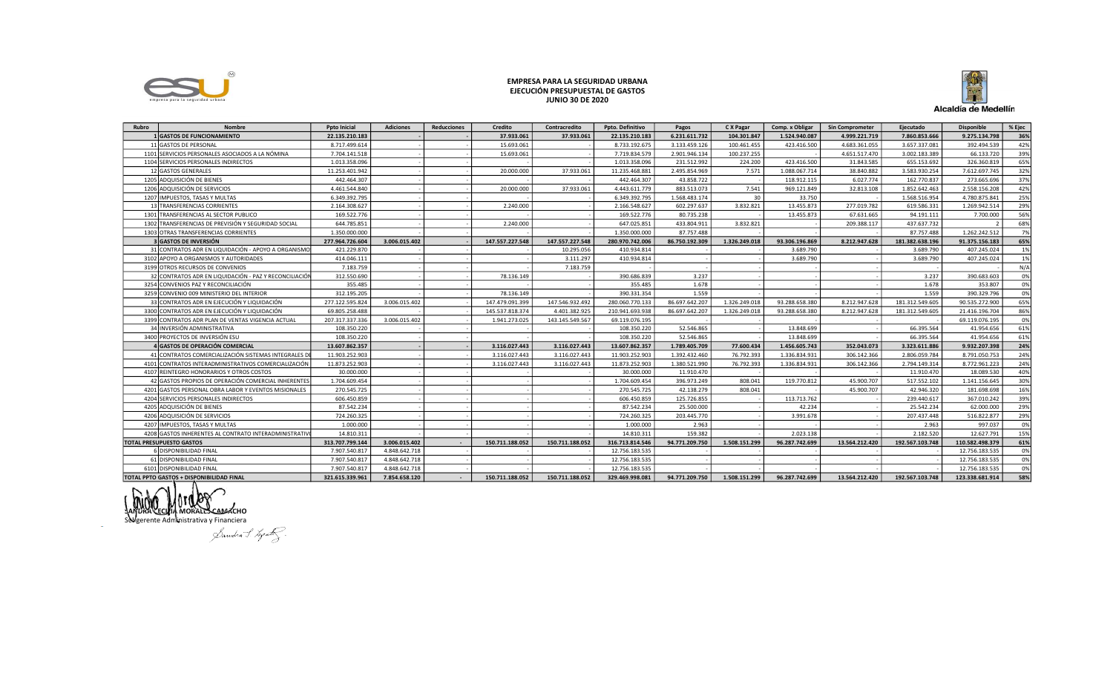

## EMPRESA PARA LA SEGURIDAD URBANA EJECUCIÓN PRESUPUESTAL DE GASTOS **JUNIO 30 DE 2020**



| Rubro                                    | <b>Nombre</b>                                          | <b>Poto Inicial</b> | <b>Adiciones</b> | <b>Reducciones</b> | <b>Credito</b>  | Contracredito   | Ppto. Definitivo | Pagos          | C X Pagar     | Comp. x Obligar | <b>Sin Comprometer</b> | Ejecutado       | <b>Disponible</b> | % Ejec |
|------------------------------------------|--------------------------------------------------------|---------------------|------------------|--------------------|-----------------|-----------------|------------------|----------------|---------------|-----------------|------------------------|-----------------|-------------------|--------|
|                                          | <b>L</b> GASTOS DE FUNCIONAMIENTO                      | 22.135.210.183      |                  |                    | 37.933.061      | 37.933.061      | 22.135.210.183   | 6.231.611.732  | 104.301.847   | 1.524.940.087   | 4.999.221.719          | 7.860.853.666   | 9.275.134.798     | 36%    |
|                                          | 11 GASTOS DE PERSONAL                                  | 8.717.499.614       |                  |                    | 15.693.061      |                 | 8.733.192.675    | 3.133.459.126  | 100.461.455   | 423.416.500     | 4.683.361.055          | 3.657.337.081   | 392.494.539       | 42%    |
|                                          | 1101 SERVICIOS PERSONALES ASOCIADOS A LA NÓMINA        | 7.704.141.518       |                  |                    | 15.693.061      |                 | 7.719.834.579    | 2.901.946.134  | 100.237.255   |                 | 4.651.517.470          | 3.002.183.389   | 66.133.720        | 39%    |
|                                          | 1104 SERVICIOS PERSONALES INDIRECTOS                   | 1.013.358.096       |                  |                    |                 |                 | 1.013.358.096    | 231.512.992    | 224.200       | 423.416.500     | 31.843.585             | 655.153.692     | 326.360.819       | 65%    |
|                                          | 12 GASTOS GENERALES                                    | 11.253.401.942      |                  |                    | 20,000,000      | 37.933.061      | 11.235.468.881   | 2.495.854.969  | 7.571         | 1.088.067.714   | 38.840.882             | 3.583.930.254   | 7.612.697.745     | 32%    |
|                                          | 1205 ADQUISICIÓN DE BIENES                             | 442.464.307         |                  |                    |                 |                 | 442.464.307      | 43.858.722     |               | 118.912.115     | 6.027.774              | 162.770.837     | 273.665.696       | 37%    |
|                                          | 1206 ADQUISICIÓN DE SERVICIOS                          | 4.461.544.840       |                  |                    | 20.000.000      | 37.933.061      | 4.443.611.779    | 883.513.073    | 7.541         | 969.121.849     | 32.813.108             | 1.852.642.463   | 2.558.156.208     | 42%    |
|                                          | 1207 IMPUESTOS, TASAS Y MULTAS                         | 6.349.392.795       |                  |                    |                 |                 | 6.349.392.795    | 1.568.483.174  | 30            | 33.750          |                        | 1.568.516.954   | 4.780.875.841     | 25%    |
|                                          | 13 TRANSFERENCIAS CORRIENTES                           | 2.164.308.627       |                  |                    | 2.240.000       |                 | 2.166.548.627    | 602.297.637    | 3.832.821     | 13.455.873      | 277.019.782            | 619.586.331     | 1.269.942.514     | 29%    |
|                                          | 1301 TRANSFERENCIAS AL SECTOR PUBLICO                  | 169.522.776         |                  |                    |                 |                 | 169.522.776      | 80.735.238     |               | 13.455.873      | 67.631.665             | 94.191.111      | 7.700.000         | 56%    |
|                                          | 1302 TRANSFERENCIAS DE PREVISIÓN Y SEGURIDAD SOCIAL    | 644.785.851         |                  |                    | 2.240.000       |                 | 647.025.851      | 433.804.911    | 3.832.821     |                 | 209.388.117            | 437.637.732     |                   | 68%    |
|                                          | 1303 OTRAS TRANSFERENCIAS CORRIENTES                   | 1.350.000.000       |                  |                    |                 |                 | 1.350.000.000    | 87.757.488     |               |                 |                        | 87.757.488      | 1.262.242.512     | 7%     |
|                                          | 3 GASTOS DE INVERSIÓN                                  | 277.964.726.604     | 3.006.015.402    |                    | 147.557.227.548 | 147.557.227.548 | 280.970.742.006  | 86.750.192.309 | 1.326.249.018 | 93.306.196.869  | 8.212.947.628          | 181.382.638.196 | 91.375.156.183    | 65%    |
|                                          | 31 CONTRATOS ADR EN LIQUIDACIÓN - APOYO A ORGANISMO    | 421.229.870         |                  |                    |                 | 10.295.056      | 410.934.814      |                |               | 3.689.790       |                        | 3.689.790       | 407.245.024       | 1%     |
|                                          | 3102 APOYO A ORGANISMOS Y AUTORIDADES                  | 414.046.111         |                  |                    |                 | 3.111.297       | 410.934.814      |                |               | 3.689.790       |                        | 3.689.790       | 407.245.024       | 1%     |
|                                          | 3199 OTROS RECURSOS DE CONVENIOS                       | 7.183.759           |                  |                    |                 | 7.183.759       |                  |                |               |                 |                        |                 |                   | N/A    |
|                                          | 32 CONTRATOS ADR EN LIQUIDACIÓN - PAZ Y RECONCILIACIÓN | 312.550.690         |                  |                    | 78.136.149      |                 | 390.686.839      | 3.237          |               |                 |                        | 3.237           | 390.683.603       | 0%     |
|                                          | 3254 CONVENIOS PAZ Y RECONCILIACIÓN                    | 355.485             |                  |                    |                 |                 | 355.485          | 1.678          |               |                 |                        | 1.678           | 353.807           | 0%     |
|                                          | 3259 CONVENIO 009 MINISTERIO DEL INTERIOR              | 312.195.205         |                  |                    | 78.136.149      |                 | 390.331.354      | 1.559          |               |                 |                        | 1.559           | 390.329.796       | 0%     |
|                                          | 33 CONTRATOS ADR EN EJECUCIÓN Y LIQUIDACIÓN            | 277.122.595.824     | 3.006.015.402    |                    | 147.479.091.399 | 147.546.932.492 | 280.060.770.133  | 86.697.642.207 | 1.326.249.01  | 93.288.658.380  | 8.212.947.628          | 181.312.549.605 | 90.535.272.900    | 65%    |
|                                          | 3300 CONTRATOS ADR EN EJECUCIÓN Y LIQUIDACIÓN          | 69.805.258.488      |                  |                    | 145.537.818.374 | 4.401.382.925   | 210.941.693.938  | 86.697.642.20  | 1.326.249.01  | 93.288.658.380  | 8.212.947.628          | 181.312.549.605 | 21.416.196.704    | 86%    |
|                                          | 3399 CONTRATOS ADR PLAN DE VENTAS VIGENCIA ACTUAL      | 207.317.337.336     | 3.006.015.402    |                    | 1.941.273.025   | 143.145.549.567 | 69.119.076.195   |                |               |                 |                        |                 | 69.119.076.195    | 0%     |
|                                          | 34 IINVERSIÓN ADMINISTRATIVA                           | 108.350.220         |                  |                    |                 |                 | 108.350.220      | 52.546.865     |               | 13.848.699      |                        | 66.395.564      | 41.954.656        | 61%    |
|                                          | 3400 PROYECTOS DE INVERSIÓN ESU                        | 108.350.220         |                  |                    |                 |                 | 108.350.220      | 52.546.865     |               | 13.848.699      |                        | 66.395.564      | 41.954.656        | 61%    |
|                                          | 4 GASTOS DE OPERACIÓN COMERCIAL                        | 13.607.862.357      |                  |                    | 3.116.027.443   | 3.116.027.443   | 13.607.862.357   | 1.789.405.709  | 77.600.434    | 1.456.605.743   | 352.043.073            | 3.323.611.886   | 9.932.207.398     | 24%    |
|                                          | 41 CONTRATOS COMERCIALIZACIÓN SISTEMAS INTEGRALES D    | 11.903.252.903      |                  |                    | 3.116.027.443   | 3.116.027.443   | 11.903.252.903   | 1.392.432.460  | 76.792.393    | 1.336.834.931   | 306.142.366            | 2.806.059.784   | 8.791.050.753     | 24%    |
|                                          | 4101 CONTRATOS INTERADMINISTRATIVOS COMERCIALIZACIÓN   | 11.873.252.903      |                  |                    | 3.116.027.443   | 3.116.027.443   | 11.873.252.903   | 1.380.521.990  | 76.792.393    | 1.336.834.931   | 306.142.366            | 2.794.149.314   | 8.772.961.223     | 24%    |
|                                          | 4107 REINTEGRO HONORARIOS Y OTROS COSTOS               | 30.000.000          |                  |                    |                 |                 | 30.000.000       | 11.910.470     |               |                 |                        | 11.910.470      | 18.089.530        | 40%    |
|                                          | 42 GASTOS PROPIOS DE OPERACIÓN COMERCIAL INHERENTES    | 1.704.609.454       |                  |                    |                 |                 | 1.704.609.454    | 396.973.249    | 808.041       | 119.770.812     | 45.900.707             | 517.552.102     | 1.141.156.645     | 30%    |
|                                          | 4201 GASTOS PERSONAL OBRA LABOR Y EVENTOS MISIONALES   | 270.545.725         |                  |                    |                 |                 | 270.545.725      | 42.138.279     | 808.041       |                 | 45.900.707             | 42.946.320      | 181.698.698       | 16%    |
|                                          | 4204 SERVICIOS PERSONALES INDIRECTOS                   | 606.450.859         |                  |                    |                 |                 | 606.450.859      | 125.726.855    |               | 113.713.762     |                        | 239.440.617     | 367.010.242       | 39%    |
|                                          | 4205 ADQUISICIÓN DE BIENES                             | 87.542.234          |                  |                    |                 |                 | 87.542.234       | 25.500.000     |               | 42.234          |                        | 25.542.234      | 62.000.000        | 29%    |
|                                          | 4206 ADQUISICIÓN DE SERVICIOS                          | 724.260.325         |                  |                    |                 |                 | 724.260.325      | 203.445.770    |               | 3.991.678       |                        | 207.437.448     | 516.822.877       | 29%    |
|                                          | 4207 IMPUESTOS, TASAS Y MULTAS                         | 1.000.000           |                  |                    |                 |                 | 1.000.000        | 2.963          |               |                 |                        | 2.963           | 997.037           | 0%     |
|                                          | 4208 GASTOS INHERENTES AL CONTRATO INTERADMINISTRATIV  | 14.810.311          |                  |                    |                 |                 | 14.810.311       | 159,382        |               | 2.023.138       |                        | 2.182.520       | 12.627.791        | 15%    |
| <b>TOTAL PRESUPUESTO GASTOS</b>          |                                                        | 313.707.799.144     | 3.006.015.402    |                    | 150.711.188.052 | 150.711.188.052 | 316.713.814.546  | 94.771.209.750 | 1.508.151.299 | 96.287.742.699  | 13.564.212.420         | 192.567.103.748 | 110.582.498.379   | 61%    |
|                                          | 6 DISPONIBILIDAD FINAL                                 | 7.907.540.81        | 4.848.642.718    |                    |                 |                 | 12.756.183.535   |                |               |                 |                        |                 | 12.756.183.535    | 0%     |
|                                          | 61 DISPONIBILIDAD FINAL                                | 7.907.540.817       | 4.848.642.718    |                    |                 |                 | 12.756.183.535   |                |               |                 |                        |                 | 12.756.183.535    | 0%     |
|                                          | 6101 DISPONIBILIDAD FINAL                              | 7.907.540.817       | 4.848.642.718    |                    |                 |                 | 12.756.183.535   |                |               |                 |                        |                 | 12.756.183.535    | 0%     |
| TOTAL PPTO GASTOS + DISPONIBILIDAD FINAL |                                                        | 321.615.339.961     | 7.854.658.120    |                    | 150.711.188.052 | 150.711.188.052 | 329.469.998.081  | 94.771.209.750 | 1.508.151.299 | 96.287.742.699  | 13.564.212.420         | 192.567.103.748 | 123.338.681.914   | 58%    |

mu Antipal ECHIM MORALES CARACHO<br>Subgerente Administrativa y Financiera<br>Subgerente Administrativa y Financiera

 $\sim$